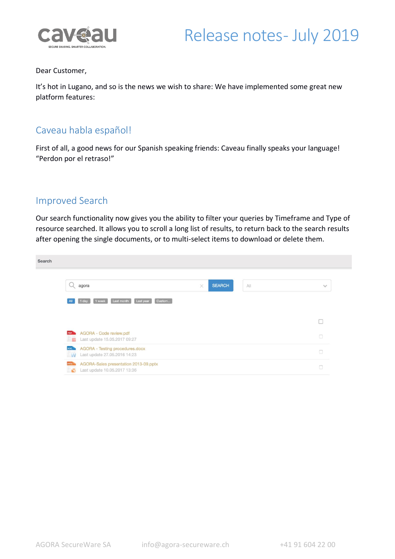



#### Dear Customer,

It's hot in Lugano, and so is the news we wish to share: We have implemented some great new platform features:

### Caveau habla español!

First of all, a good news for our Spanish speaking friends: Caveau finally speaks your language! "Perdon por el retraso!"

#### Improved Search

Our search functionality now gives you the ability to filter your queries by Timeframe and Type of resource searched. It allows you to scroll a long list of results, to return back to the search results after opening the single documents, or to multi-select items to download or delete them.

| Search |                                                                                                     |                           |                     |
|--------|-----------------------------------------------------------------------------------------------------|---------------------------|---------------------|
|        | agora                                                                                               | <b>SEARCH</b><br>All<br>× | $\checkmark$        |
|        | Last month<br>Last year<br>Custom<br>1 week<br>1 day<br>All                                         |                           |                     |
|        |                                                                                                     |                           |                     |
|        | AGORA - Code review.pdf<br><b>PDF</b><br>Last update 15.05.2017 09:27                               |                           | $\circlearrowright$ |
|        | AGORA - Testing procedures.docx<br>DOG <sub>2</sub><br>Last update 27.05.2016 14:23<br>W            |                           | $\Box$              |
|        | AGORA-Sales presentation 2013-09.pptx<br><b>PPT</b><br>Last update 10.05.2017 13:36<br>$\mathbf{C}$ |                           | $\Box$              |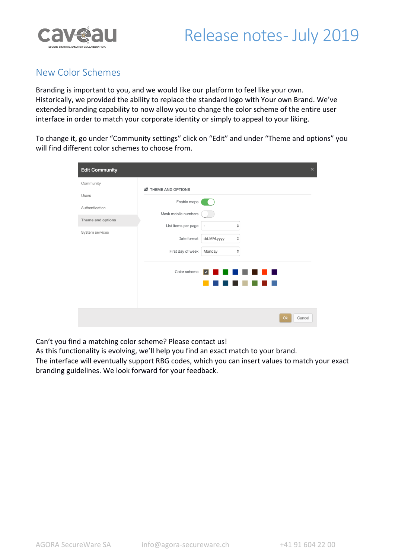



### New Color Schemes

Branding is important to you, and we would like our platform to feel like your own. Historically, we provided the ability to replace the standard logo with Your own Brand. We've extended branding capability to now allow you to change the color scheme of the entire user interface in order to match your corporate identity or simply to appeal to your liking.

To change it, go under "Community settings" click on "Edit" and under "Theme and options" you will find different color schemes to choose from.

| <b>Edit Community</b> |                     | $\times$                                                        |  |
|-----------------------|---------------------|-----------------------------------------------------------------|--|
| Community             | N THEME AND OPTIONS |                                                                 |  |
| <b>Users</b>          | Enable maps         |                                                                 |  |
| Authentication        | Mask mobile numbers |                                                                 |  |
| Theme and options     | List items per page | $\stackrel{\mathtt{A}}{\mathtt{v}}$<br>$\overline{\phantom{a}}$ |  |
| System services       | Date format         | $\stackrel{\mathtt{A}}{\mathtt{v}}$<br>dd.MM.yyyy               |  |
|                       | First day of week   | $\hat{\mathbf{z}}$<br>Monday                                    |  |
|                       | Color scheme        | ⋁                                                               |  |
|                       |                     |                                                                 |  |
|                       |                     | O <sub>k</sub><br>Cancel                                        |  |

Can't you find a matching color scheme? Please contact us!

As this functionality is evolving, we'll help you find an exact match to your brand.

The interface will eventually support RBG codes, which you can insert values to match your exact branding guidelines. We look forward for your feedback.